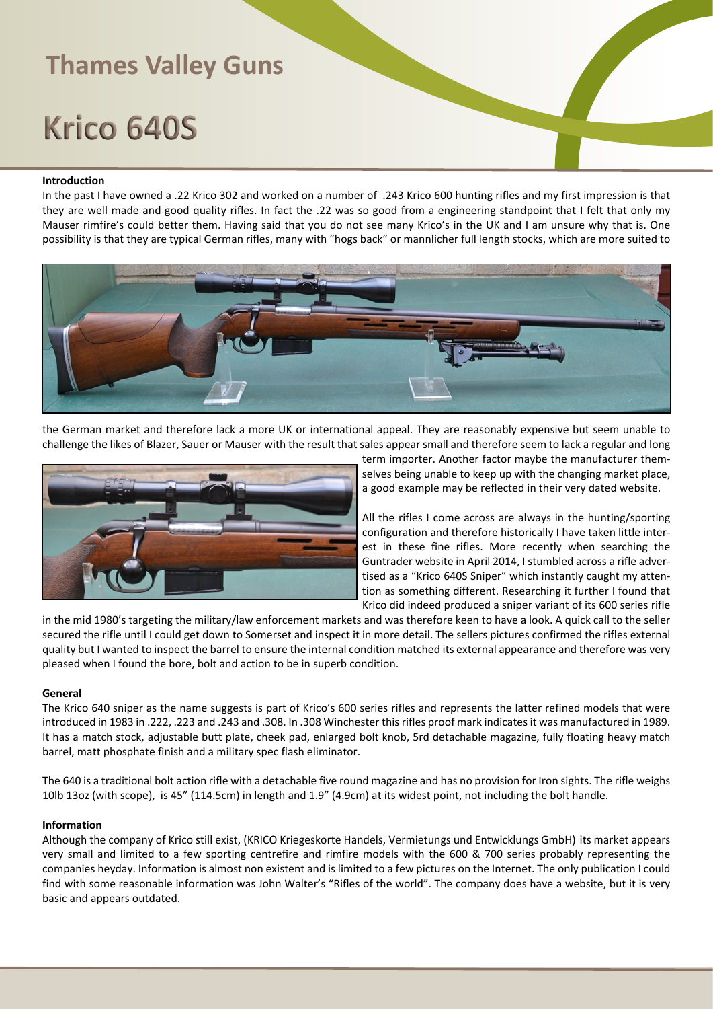# Krico 640S

### **Introduction**

In the past I have owned a .22 Krico 302 and worked on a number of .243 Krico 600 hunting rifles and my first impression is that they are well made and good quality rifles. In fact the .22 was so good from a engineering standpoint that I felt that only my Mauser rimfire's could better them. Having said that you do not see many Krico's in the UK and I am unsure why that is. One possibility is that they are typical German rifles, many with "hogs back" or mannlicher full length stocks, which are more suited to



the German market and therefore lack a more UK or international appeal. They are reasonably expensive but seem unable to challenge the likes of Blazer, Sauer or Mauser with the result that sales appear small and therefore seem to lack a regular and long



term importer. Another factor maybe the manufacturer themselves being unable to keep up with the changing market place, a good example may be reflected in their very dated website.

All the rifles I come across are always in the hunting/sporting configuration and therefore historically I have taken little interest in these fine rifles. More recently when searching the Guntrader website in April 2014, I stumbled across a rifle advertised as a "Krico 640S Sniper" which instantly caught my attention as something different. Researching it further I found that Krico did indeed produced a sniper variant of its 600 series rifle

in the mid 1980's targeting the military/law enforcement markets and was therefore keen to have a look. A quick call to the seller secured the rifle until I could get down to Somerset and inspect it in more detail. The sellers pictures confirmed the rifles external quality but I wanted to inspect the barrel to ensure the internal condition matched its external appearance and therefore was very pleased when I found the bore, bolt and action to be in superb condition.

#### **General**

The Krico 640 sniper as the name suggests is part of Krico's 600 series rifles and represents the latter refined models that were introduced in 1983 in .222, .223 and .243 and .308. In .308 Winchester this rifles proof mark indicates it was manufactured in 1989. It has a match stock, adjustable butt plate, cheek pad, enlarged bolt knob, 5rd detachable magazine, fully floating heavy match barrel, matt phosphate finish and a military spec flash eliminator.

The 640 is a traditional bolt action rifle with a detachable five round magazine and has no provision for Iron sights. The rifle weighs 10lb 13oz (with scope), is 45" (114.5cm) in length and 1.9" (4.9cm) at its widest point, not including the bolt handle.

#### **Information**

Although the company of Krico still exist, (KRICO Kriegeskorte Handels, Vermietungs und Entwicklungs GmbH) its market appears very small and limited to a few sporting centrefire and rimfire models with the 600 & 700 series probably representing the companies heyday. Information is almost non existent and is limited to a few pictures on the Internet. The only publication I could find with some reasonable information was John Walter's "Rifles of the world". The company does have a website, but it is very basic and appears outdated.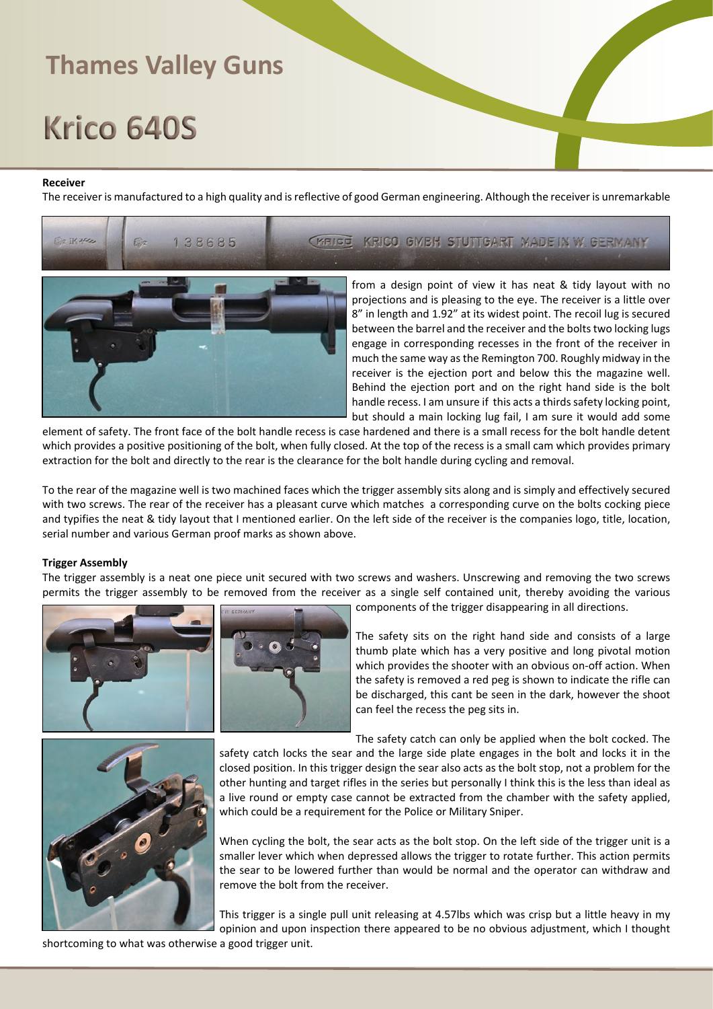# Krico 640S

#### **Receiver**

The receiver is manufactured to a high quality and is reflective of good German engineering. Although the receiver is unremarkable



element of safety. The front face of the bolt handle recess is case hardened and there is a small recess for the bolt handle detent which provides a positive positioning of the bolt, when fully closed. At the top of the recess is a small cam which provides primary extraction for the bolt and directly to the rear is the clearance for the bolt handle during cycling and removal.

To the rear of the magazine well is two machined faces which the trigger assembly sits along and is simply and effectively secured with two screws. The rear of the receiver has a pleasant curve which matches a corresponding curve on the bolts cocking piece and typifies the neat & tidy layout that I mentioned earlier. On the left side of the receiver is the companies logo, title, location, serial number and various German proof marks as shown above.

### **Trigger Assembly**

The trigger assembly is a neat one piece unit secured with two screws and washers. Unscrewing and removing the two screws permits the trigger assembly to be removed from the receiver as a single self contained unit, thereby avoiding the various





components of the trigger disappearing in all directions.

The safety sits on the right hand side and consists of a large thumb plate which has a very positive and long pivotal motion which provides the shooter with an obvious on-off action. When the safety is removed a red peg is shown to indicate the rifle can be discharged, this cant be seen in the dark, however the shoot can feel the recess the peg sits in.



When cycling the bolt, the sear acts as the bolt stop. On the left side of the trigger unit is a smaller lever which when depressed allows the trigger to rotate further. This action permits the sear to be lowered further than would be normal and the operator can withdraw and remove the bolt from the receiver.

This trigger is a single pull unit releasing at 4.57lbs which was crisp but a little heavy in my opinion and upon inspection there appeared to be no obvious adjustment, which I thought

shortcoming to what was otherwise a good trigger unit.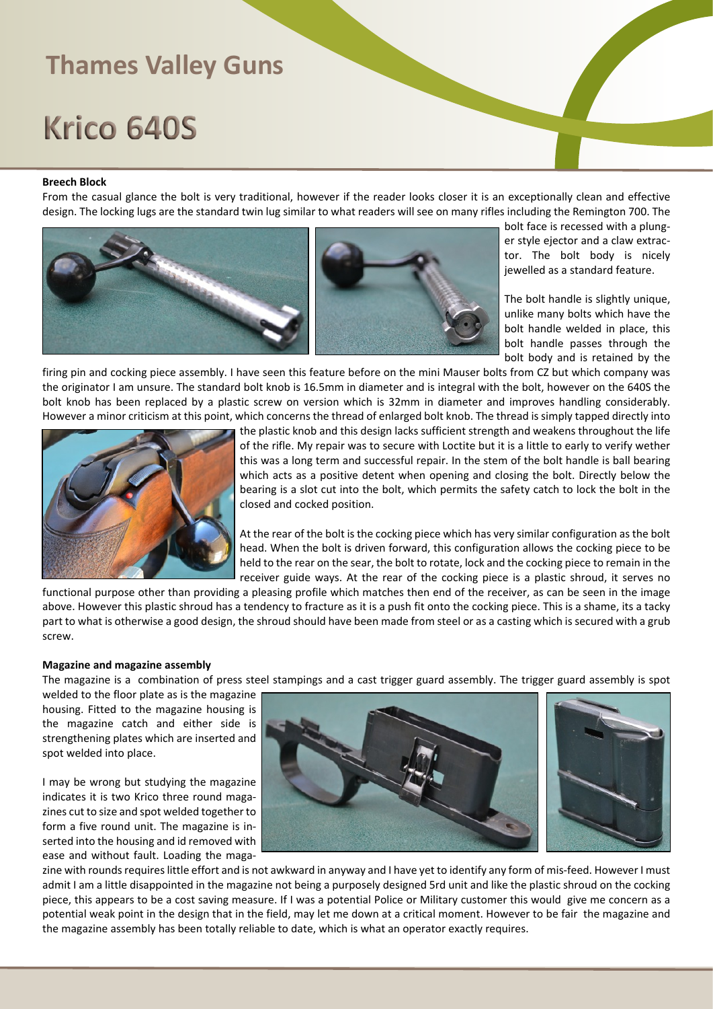# Krico 640S

#### **Breech Block**

From the casual glance the bolt is very traditional, however if the reader looks closer it is an exceptionally clean and effective design. The locking lugs are the standard twin lug similar to what readers will see on many rifles including the Remington 700. The



bolt face is recessed with a plunger style ejector and a claw extractor. The bolt body is nicely jewelled as a standard feature.

The bolt handle is slightly unique, unlike many bolts which have the bolt handle welded in place, this bolt handle passes through the bolt body and is retained by the

firing pin and cocking piece assembly. I have seen this feature before on the mini Mauser bolts from CZ but which company was the originator I am unsure. The standard bolt knob is 16.5mm in diameter and is integral with the bolt, however on the 640S the bolt knob has been replaced by a plastic screw on version which is 32mm in diameter and improves handling considerably. However a minor criticism at this point, which concerns the thread of enlarged bolt knob. The thread is simply tapped directly into



the plastic knob and this design lacks sufficient strength and weakens throughout the life of the rifle. My repair was to secure with Loctite but it is a little to early to verify wether this was a long term and successful repair. In the stem of the bolt handle is ball bearing which acts as a positive detent when opening and closing the bolt. Directly below the bearing is a slot cut into the bolt, which permits the safety catch to lock the bolt in the closed and cocked position.

At the rear of the bolt is the cocking piece which has very similar configuration as the bolt head. When the bolt is driven forward, this configuration allows the cocking piece to be held to the rear on the sear, the bolt to rotate, lock and the cocking piece to remain in the receiver guide ways. At the rear of the cocking piece is a plastic shroud, it serves no

functional purpose other than providing a pleasing profile which matches then end of the receiver, as can be seen in the image above. However this plastic shroud has a tendency to fracture as it is a push fit onto the cocking piece. This is a shame, its a tacky part to what is otherwise a good design, the shroud should have been made from steel or as a casting which is secured with a grub screw.

#### **Magazine and magazine assembly**

The magazine is a combination of press steel stampings and a cast trigger guard assembly. The trigger guard assembly is spot

welded to the floor plate as is the magazine housing. Fitted to the magazine housing is the magazine catch and either side is strengthening plates which are inserted and spot welded into place.

I may be wrong but studying the magazine indicates it is two Krico three round magazines cut to size and spot welded together to form a five round unit. The magazine is inserted into the housing and id removed with ease and without fault. Loading the maga-



zine with rounds requires little effort and is not awkward in anyway and I have yet to identify any form of mis-feed. However I must admit I am a little disappointed in the magazine not being a purposely designed 5rd unit and like the plastic shroud on the cocking piece, this appears to be a cost saving measure. If I was a potential Police or Military customer this would give me concern as a potential weak point in the design that in the field, may let me down at a critical moment. However to be fair the magazine and the magazine assembly has been totally reliable to date, which is what an operator exactly requires.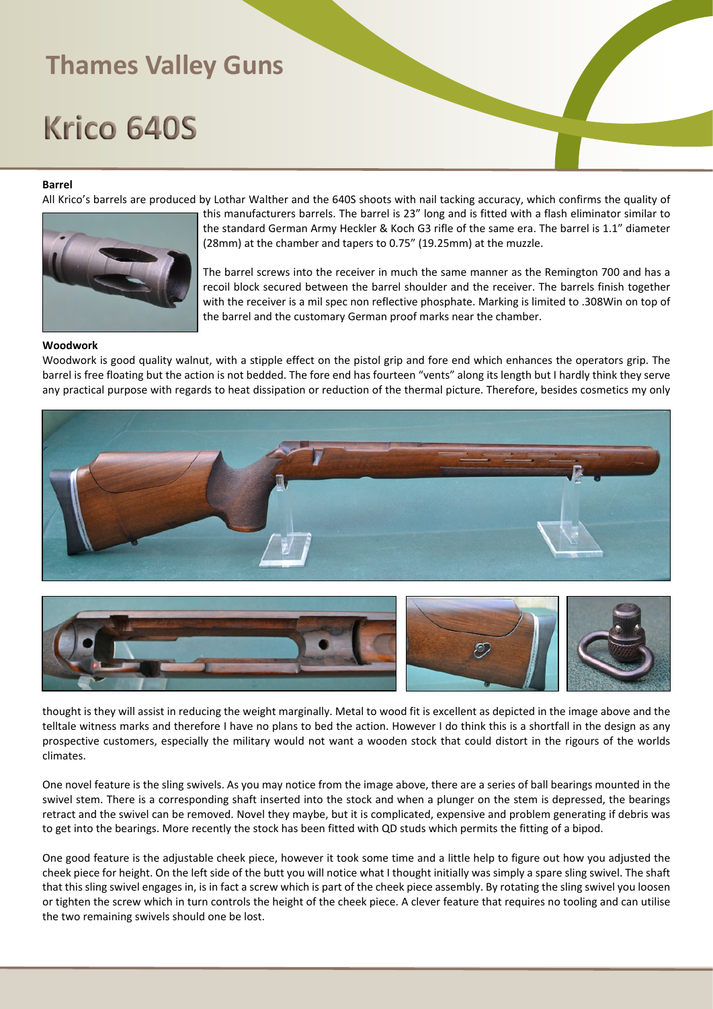## Krico 640S

### **Barrel**

All Krico's barrels are produced by Lothar Walther and the 640S shoots with nail tacking accuracy, which confirms the quality of



this manufacturers barrels. The barrel is 23" long and is fitted with a flash eliminator similar to the standard German Army Heckler & Koch G3 rifle of the same era. The barrel is 1.1" diameter (28mm) at the chamber and tapers to 0.75" (19.25mm) at the muzzle.

The barrel screws into the receiver in much the same manner as the Remington 700 and has a recoil block secured between the barrel shoulder and the receiver. The barrels finish together with the receiver is a mil spec non reflective phosphate. Marking is limited to .308Win on top of the barrel and the customary German proof marks near the chamber.

### **Woodwork**

Woodwork is good quality walnut, with a stipple effect on the pistol grip and fore end which enhances the operators grip. The barrel is free floating but the action is not bedded. The fore end has fourteen "vents" along its length but I hardly think they serve any practical purpose with regards to heat dissipation or reduction of the thermal picture. Therefore, besides cosmetics my only



thought is they will assist in reducing the weight marginally. Metal to wood fit is excellent as depicted in the image above and the telltale witness marks and therefore I have no plans to bed the action. However I do think this is a shortfall in the design as any prospective customers, especially the military would not want a wooden stock that could distort in the rigours of the worlds climates.

One novel feature is the sling swivels. As you may notice from the image above, there are a series of ball bearings mounted in the swivel stem. There is a corresponding shaft inserted into the stock and when a plunger on the stem is depressed, the bearings retract and the swivel can be removed. Novel they maybe, but it is complicated, expensive and problem generating if debris was to get into the bearings. More recently the stock has been fitted with QD studs which permits the fitting of a bipod.

One good feature is the adjustable cheek piece, however it took some time and a little help to figure out how you adjusted the cheek piece for height. On the left side of the butt you will notice what I thought initially was simply a spare sling swivel. The shaft that this sling swivel engages in, is in fact a screw which is part of the cheek piece assembly. By rotating the sling swivel you loosen or tighten the screw which in turn controls the height of the cheek piece. A clever feature that requires no tooling and can utilise the two remaining swivels should one be lost.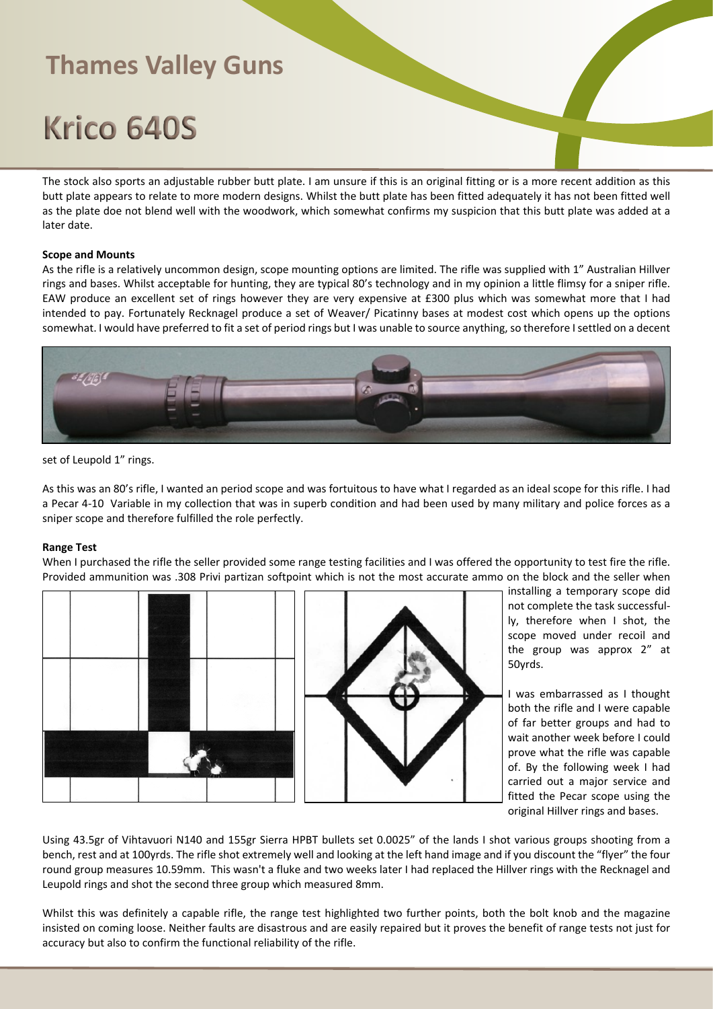# Krico 640S

The stock also sports an adjustable rubber butt plate. I am unsure if this is an original fitting or is a more recent addition as this butt plate appears to relate to more modern designs. Whilst the butt plate has been fitted adequately it has not been fitted well as the plate doe not blend well with the woodwork, which somewhat confirms my suspicion that this butt plate was added at a later date.

### **Scope and Mounts**

As the rifle is a relatively uncommon design, scope mounting options are limited. The rifle was supplied with 1" Australian Hillver rings and bases. Whilst acceptable for hunting, they are typical 80's technology and in my opinion a little flimsy for a sniper rifle. EAW produce an excellent set of rings however they are very expensive at £300 plus which was somewhat more that I had intended to pay. Fortunately Recknagel produce a set of Weaver/ Picatinny bases at modest cost which opens up the options somewhat. I would have preferred to fit a set of period rings but I was unable to source anything, so therefore I settled on a decent



set of Leupold 1" rings.

As this was an 80's rifle, I wanted an period scope and was fortuitous to have what I regarded as an ideal scope for this rifle. I had a Pecar 4-10 Variable in my collection that was in superb condition and had been used by many military and police forces as a sniper scope and therefore fulfilled the role perfectly.

### **Range Test**

When I purchased the rifle the seller provided some range testing facilities and I was offered the opportunity to test fire the rifle. Provided ammunition was .308 Privi partizan softpoint which is not the most accurate ammo on the block and the seller when



installing a temporary scope did not complete the task successfully, therefore when I shot, the scope moved under recoil and the group was approx 2" at 50yrds.

I was embarrassed as I thought both the rifle and I were capable of far better groups and had to wait another week before I could prove what the rifle was capable of. By the following week I had carried out a major service and fitted the Pecar scope using the original Hillver rings and bases.

Using 43.5gr of Vihtavuori N140 and 155gr Sierra HPBT bullets set 0.0025" of the lands I shot various groups shooting from a bench, rest and at 100yrds. The rifle shot extremely well and looking at the left hand image and if you discount the "flyer" the four round group measures 10.59mm. This wasn't a fluke and two weeks later I had replaced the Hillver rings with the Recknagel and Leupold rings and shot the second three group which measured 8mm.

Whilst this was definitely a capable rifle, the range test highlighted two further points, both the bolt knob and the magazine insisted on coming loose. Neither faults are disastrous and are easily repaired but it proves the benefit of range tests not just for accuracy but also to confirm the functional reliability of the rifle.